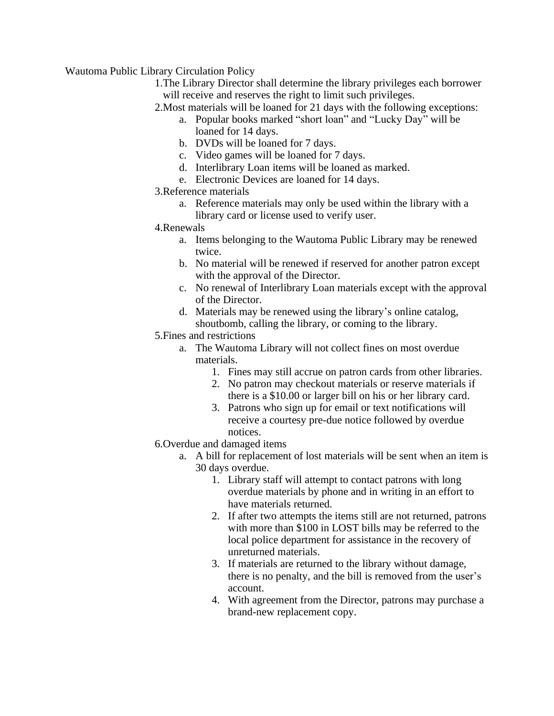Wautoma Public Library Circulation Policy

- 1.The Library Director shall determine the library privileges each borrower will receive and reserves the right to limit such privileges.
- 2.Most materials will be loaned for 21 days with the following exceptions:
	- a. Popular books marked "short loan" and "Lucky Day" will be loaned for 14 days.
	- b. DVDs will be loaned for 7 days.
	- c. Video games will be loaned for 7 days.
	- d. Interlibrary Loan items will be loaned as marked.
	- e. Electronic Devices are loaned for 14 days.
- 3.Reference materials
	- a. Reference materials may only be used within the library with a library card or license used to verify user.
- 4.Renewals
	- a. Items belonging to the Wautoma Public Library may be renewed twice.
	- b. No material will be renewed if reserved for another patron except with the approval of the Director.
	- c. No renewal of Interlibrary Loan materials except with the approval of the Director.
	- d. Materials may be renewed using the library's online catalog, shoutbomb, calling the library, or coming to the library.
- 5.Fines and restrictions
	- a. The Wautoma Library will not collect fines on most overdue materials.
		- 1. Fines may still accrue on patron cards from other libraries.
		- 2. No patron may checkout materials or reserve materials if there is a \$10.00 or larger bill on his or her library card.
		- 3. Patrons who sign up for email or text notifications will receive a courtesy pre-due notice followed by overdue notices.
- 6.Overdue and damaged items
	- a. A bill for replacement of lost materials will be sent when an item is 30 days overdue.
		- 1. Library staff will attempt to contact patrons with long overdue materials by phone and in writing in an effort to have materials returned.
		- 2. If after two attempts the items still are not returned, patrons with more than \$100 in LOST bills may be referred to the local police department for assistance in the recovery of unreturned materials.
		- 3. If materials are returned to the library without damage, there is no penalty, and the bill is removed from the user's account.
		- 4. With agreement from the Director, patrons may purchase a brand-new replacement copy.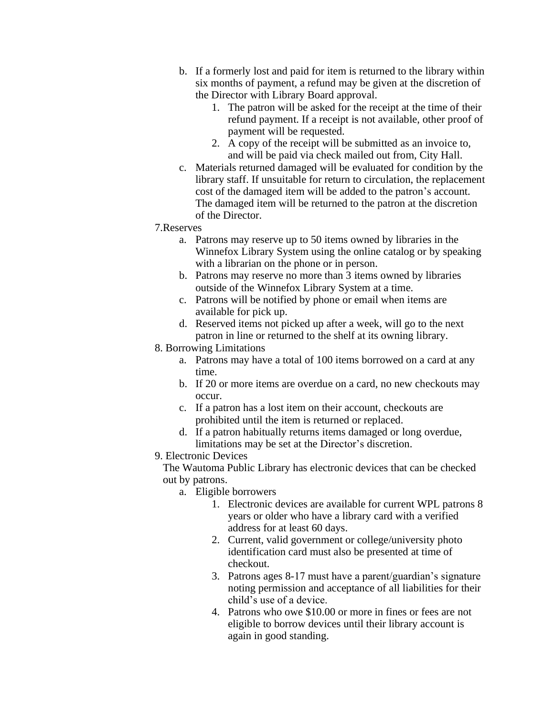- b. If a formerly lost and paid for item is returned to the library within six months of payment, a refund may be given at the discretion of the Director with Library Board approval.
	- 1. The patron will be asked for the receipt at the time of their refund payment. If a receipt is not available, other proof of payment will be requested.
	- 2. A copy of the receipt will be submitted as an invoice to, and will be paid via check mailed out from, City Hall.
- c. Materials returned damaged will be evaluated for condition by the library staff. If unsuitable for return to circulation, the replacement cost of the damaged item will be added to the patron's account. The damaged item will be returned to the patron at the discretion of the Director.

## 7.Reserves

- a. Patrons may reserve up to 50 items owned by libraries in the Winnefox Library System using the online catalog or by speaking with a librarian on the phone or in person.
- b. Patrons may reserve no more than 3 items owned by libraries outside of the Winnefox Library System at a time.
- c. Patrons will be notified by phone or email when items are available for pick up.
- d. Reserved items not picked up after a week, will go to the next patron in line or returned to the shelf at its owning library.
- 8. Borrowing Limitations
	- a. Patrons may have a total of 100 items borrowed on a card at any time.
	- b. If 20 or more items are overdue on a card, no new checkouts may occur.
	- c. If a patron has a lost item on their account, checkouts are prohibited until the item is returned or replaced.
	- d. If a patron habitually returns items damaged or long overdue, limitations may be set at the Director's discretion.
- 9. Electronic Devices

The Wautoma Public Library has electronic devices that can be checked out by patrons.

- a. Eligible borrowers
	- 1. Electronic devices are available for current WPL patrons 8 years or older who have a library card with a verified address for at least 60 days.
	- 2. Current, valid government or college/university photo identification card must also be presented at time of checkout.
	- 3. Patrons ages 8-17 must have a parent/guardian's signature noting permission and acceptance of all liabilities for their child's use of a device.
	- 4. Patrons who owe \$10.00 or more in fines or fees are not eligible to borrow devices until their library account is again in good standing.